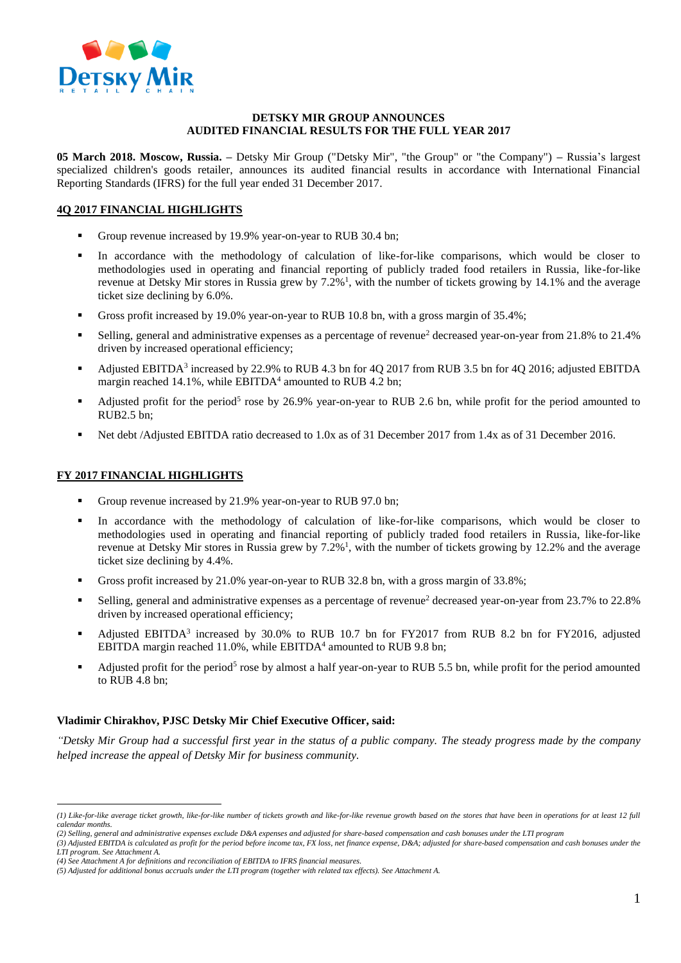

#### **DETSKY MIR GROUP ANNOUNCES AUDITED FINANCIAL RESULTS FOR THE FULL YEAR 2017**

**05 March 2018. Moscow, Russia. –** Detsky Mir Group ("Detsky Mir", "the Group" or "the Company") **–** Russia's largest specialized children's goods retailer, announces its audited financial results in accordance with International Financial Reporting Standards (IFRS) for the full year ended 31 December 2017.

## **4Q 2017 FINANCIAL HIGHLIGHTS**

- Group revenue increased by 19.9% year-on-year to RUB 30.4 bn;
- In accordance with the methodology of calculation of like-for-like comparisons, which would be closer to methodologies used in operating and financial reporting of publicly traded food retailers in Russia, like-for-like revenue at Detsky Mir stores in Russia grew by 7.2%<sup>1</sup>, with the number of tickets growing by 14.1% and the average ticket size declining by 6.0%.
- Gross profit increased by 19.0% year-on-year to RUB 10.8 bn, with a gross margin of 35.4%;
- Selling, general and administrative expenses as a percentage of revenue<sup>2</sup> decreased year-on-year from 21.8% to 21.4% driven by increased operational efficiency;
- Adjusted EBITDA<sup>3</sup> increased by 22.9% to RUB 4.3 bn for  $4Q$  2017 from RUB 3.5 bn for  $4Q$  2016; adjusted EBITDA margin reached 14.1%, while EBITDA<sup>4</sup> amounted to RUB 4.2 bn;
- Adjusted profit for the period<sup>5</sup> rose by 26.9% year-on-year to RUB 2.6 bn, while profit for the period amounted to RUB2.5 bn;
- Net debt /Adjusted EBITDA ratio decreased to 1.0x as of 31 December 2017 from 1.4x as of 31 December 2016.

### **FY 2017 FINANCIAL HIGHLIGHTS**

 $\overline{a}$ 

- Group revenue increased by 21.9% year-on-year to RUB 97.0 bn;
- In accordance with the methodology of calculation of like-for-like comparisons, which would be closer to methodologies used in operating and financial reporting of publicly traded food retailers in Russia, like-for-like revenue at Detsky Mir stores in Russia grew by 7.2%<sup>1</sup>, with the number of tickets growing by 12.2% and the average ticket size declining by 4.4%.
- Gross profit increased by 21.0% year-on-year to RUB 32.8 bn, with a gross margin of 33.8%;
- Selling, general and administrative expenses as a percentage of revenue<sup>2</sup> decreased year-on-year from 23.7% to 22.8% driven by increased operational efficiency;
- Adjusted EBITDA<sup>3</sup> increased by 30.0% to RUB 10.7 bn for FY2017 from RUB 8.2 bn for FY2016, adjusted EBITDA margin reached 11.0%, while  $EBITDA<sup>4</sup>$  amounted to RUB 9.8 bn;
- Adjusted profit for the period<sup>5</sup> rose by almost a half year-on-year to RUB 5.5 bn, while profit for the period amounted to RUB 4.8 bn;

### **Vladimir Chirakhov, PJSC Detsky Mir Chief Executive Officer, said:**

*"Detsky Mir Group had a successful first year in the status of a public company. The steady progress made by the company helped increase the appeal of Detsky Mir for business community.* 

*<sup>(1)</sup> Like-for-like average ticket growth, like-for-like number of tickets growth and like-for-like revenue growth based on the stores that have been in operations for at least 12 full calendar months.*

*<sup>(2)</sup> Selling, general and administrative expenses exclude D&A expenses and adjusted for share-based compensation and cash bonuses under the LTI program*

*<sup>(3)</sup> Adjusted EBITDA is calculated as profit for the period before income tax, FX loss, net finance expense, D&A; adjusted for share-based compensation and cash bonuses under the LTI program. See Attachment A.*

*<sup>(4)</sup> See Attachment A for definitions and reconciliation of EBITDA to IFRS financial measures.*

*<sup>(5)</sup> Adjusted for additional bonus accruals under the LTI program (together with related tax effects). See Attachment A.*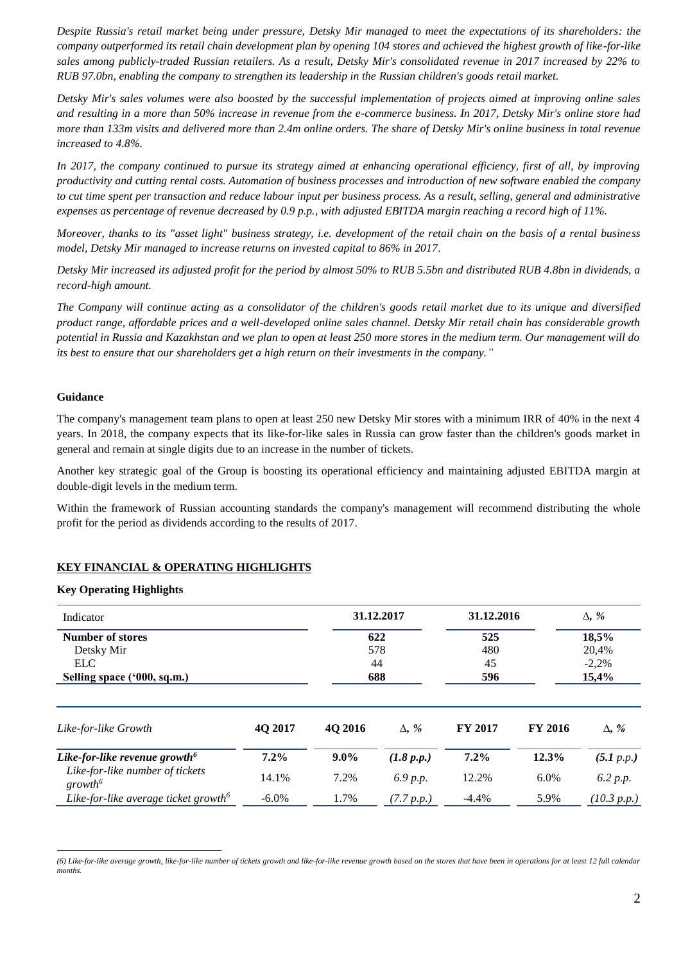*Despite Russia's retail market being under pressure, Detsky Mir managed to meet the expectations of its shareholders: the company outperformed its retail chain development plan by opening 104 stores and achieved the highest growth of like-for-like sales among publicly-traded Russian retailers. As a result, Detsky Mir's consolidated revenue in 2017 increased by 22% to RUB 97.0bn, enabling the company to strengthen its leadership in the Russian children's goods retail market.* 

*Detsky Mir's sales volumes were also boosted by the successful implementation of projects aimed at improving online sales and resulting in a more than 50% increase in revenue from the e-commerce business. In 2017, Detsky Mir's online store had more than 133m visits and delivered more than 2.4m online orders. The share of Detsky Mir's online business in total revenue increased to 4.8%.* 

In 2017, the company continued to pursue its strategy aimed at enhancing operational efficiency, first of all, by improving *productivity and cutting rental costs. Automation of business processes and introduction of new software enabled the company to cut time spent per transaction and reduce labour input per business process. As a result, selling, general and administrative expenses as percentage of revenue decreased by 0.9 p.p., with adjusted EBITDA margin reaching a record high of 11%.* 

*Moreover, thanks to its "asset light" business strategy, i.e. development of the retail chain on the basis of a rental business model, Detsky Mir managed to increase returns on invested capital to 86% in 2017.* 

*Detsky Mir increased its adjusted profit for the period by almost 50% to RUB 5.5bn and distributed RUB 4.8bn in dividends, a record-high amount.* 

*The Company will continue acting as a consolidator of the children's goods retail market due to its unique and diversified product range, affordable prices and a well-developed online sales channel. Detsky Mir retail chain has considerable growth potential in Russia and Kazakhstan and we plan to open at least 250 more stores in the medium term. Our management will do its best to ensure that our shareholders get a high return on their investments in the company."*

#### **Guidance**

 $\overline{a}$ 

The company's management team plans to open at least 250 new Detsky Mir stores with a minimum IRR of 40% in the next 4 years. In 2018, the company expects that its like-for-like sales in Russia can grow faster than the children's goods market in general and remain at single digits due to an increase in the number of tickets.

Another key strategic goal of the Group is boosting its operational efficiency and maintaining adjusted EBITDA margin at double-digit levels in the medium term.

Within the framework of Russian accounting standards the company's management will recommend distributing the whole profit for the period as dividends according to the results of 2017.

# **KEY FINANCIAL & OPERATING HIGHLIGHTS**

#### **Key Operating Highlights**

| Indicator                                              |          | 31.12.2017<br>622 |              | 31.12.2016     |                | $\Delta$ , % |  |
|--------------------------------------------------------|----------|-------------------|--------------|----------------|----------------|--------------|--|
| <b>Number of stores</b>                                |          |                   |              | 525            |                | 18,5%        |  |
| Detsky Mir                                             |          | 578               |              | 480            |                | 20,4%        |  |
| <b>ELC</b>                                             |          | 44                |              | 45             |                | $-2,2%$      |  |
| Selling space ('000, sq.m.)                            |          | 688               |              | 596            |                | 15,4%        |  |
| Like-for-like Growth                                   | 4Q 2017  | 4Q 2016           | $\Delta$ , % | <b>FY 2017</b> | <b>FY 2016</b> | $\Delta$ , % |  |
| Like-for-like revenue growth <sup>6</sup>              | $7.2\%$  | $9.0\%$           | (1.8 p.p.)   | $7.2\%$        | 12.3%          | (5.1 p.p.)   |  |
| Like-for-like number of tickets<br>growth <sup>6</sup> | 14.1%    | 7.2%              | 6.9 p.p.     | 12.2%          | $6.0\%$        | 6.2 p.p.     |  |
| Like-for-like average ticket growth <sup>6</sup>       | $-6.0\%$ | 1.7%              | (7.7 p.p.)   | $-4.4\%$       | 5.9%           | (10.3 p.p.)  |  |

*(6) Like-for-like average growth, like-for-like number of tickets growth and like-for-like revenue growth based on the stores that have been in operations for at least 12 full calendar months.*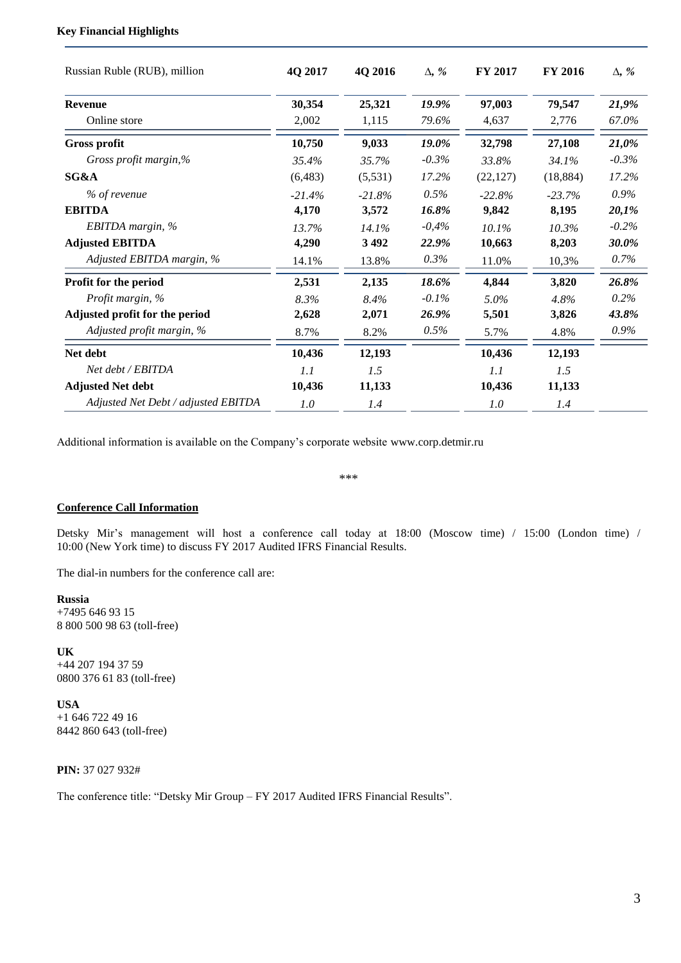### **Key Financial Highlights**

| Russian Ruble (RUB), million        | 4Q 2017  | 4Q 2016  | $\Delta$ , % | <b>FY 2017</b> | <b>FY 2016</b> | $\Delta$ , % |
|-------------------------------------|----------|----------|--------------|----------------|----------------|--------------|
| <b>Revenue</b>                      | 30,354   | 25,321   | 19.9%        | 97,003         | 79,547         | 21,9%        |
| Online store                        | 2,002    | 1,115    | 79.6%        | 4,637          | 2.776          | 67.0%        |
| <b>Gross profit</b>                 | 10,750   | 9,033    | 19.0%        | 32,798         | 27,108         | 21,0%        |
| Gross profit margin,%               | 35.4%    | 35.7%    | $-0.3\%$     | 33.8%          | 34.1%          | $-0.3\%$     |
| SG&A                                | (6,483)  | (5,531)  | 17.2%        | (22, 127)      | (18, 884)      | 17.2%        |
| % of revenue                        | $-21.4%$ | $-21.8%$ | 0.5%         | $-22.8%$       | $-23.7%$       | $0.9\%$      |
| <b>EBITDA</b>                       | 4,170    | 3,572    | 16.8%        | 9,842          | 8,195          | 20,1%        |
| EBITDA margin, %                    | 13.7%    | 14.1%    | $-0,4%$      | 10.1%          | 10.3%          | $-0.2\%$     |
| <b>Adjusted EBITDA</b>              | 4,290    | 3492     | 22.9%        | 10,663         | 8,203          | 30.0%        |
| Adjusted EBITDA margin, %           | 14.1%    | 13.8%    | $0.3\%$      | 11.0%          | 10,3%          | $0.7\%$      |
| Profit for the period               | 2,531    | 2,135    | 18.6%        | 4,844          | 3,820          | 26.8%        |
| Profit margin, %                    | 8.3%     | 8.4%     | $-0.1\%$     | 5.0%           | 4.8%           | $0.2\%$      |
| Adjusted profit for the period      | 2,628    | 2,071    | 26.9%        | 5,501          | 3,826          | 43.8%        |
| Adjusted profit margin, %           | 8.7%     | 8.2%     | 0.5%         | 5.7%           | 4.8%           | 0.9%         |
| Net debt                            | 10,436   | 12,193   |              | 10,436         | 12,193         |              |
| Net debt / EBITDA                   | 1.1      | 1.5      |              | 1.1            | 1.5            |              |
| <b>Adjusted Net debt</b>            | 10,436   | 11,133   |              | 10,436         | 11,133         |              |
| Adjusted Net Debt / adjusted EBITDA | 1.0      | 1.4      |              | 1.0            | 1.4            |              |

Additional information is available on the Company's corporate website www.corp.detmir.ru

\*\*\*

#### **Conference Call Information**

Detsky Mir's management will host a conference call today at 18:00 (Moscow time) / 15:00 (London time) / 10:00 (New York time) to discuss FY 2017 Audited IFRS Financial Results.

The dial-in numbers for the conference call are:

#### **Russia**

+7495 646 93 15 8 800 500 98 63 (toll-free)

**UK** +44 207 194 37 59 0800 376 61 83 (toll-free)

**USA** +1 646 722 49 16 8442 860 643 (toll-free)

**PIN:** 37 027 932#

The conference title: "Detsky Mir Group – FY 2017 Audited IFRS Financial Results".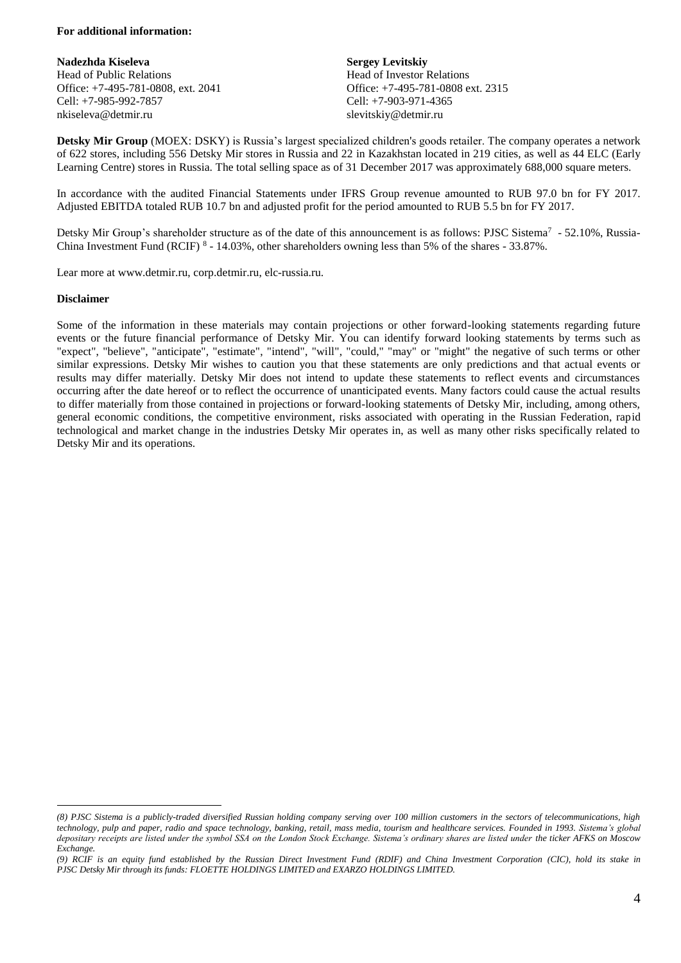#### **For additional information:**

**Nadezhda Kiseleva** Head of Public Relations Office: +7-495-781-0808, ext. 2041 Cell: +7-985-992-7857 nkiseleva@detmir.ru

**Sergey Levitskiy** Head of Investor Relations Office: +7-495-781-0808 ext. 2315 Cell: +7-903-971-4365 slevitskiy@detmir.ru

**Detsky Mir Group** (MOEX: DSKY) is Russia's largest specialized children's goods retailer. The company operates a network of 622 stores, including 556 Detsky Mir stores in Russia and 22 in Kazakhstan located in 219 cities, as well as 44 ELC (Early Learning Centre) stores in Russia. The total selling space as of 31 December 2017 was approximately 688,000 square meters.

In accordance with the audited Financial Statements under IFRS Group revenue amounted to RUB 97.0 bn for FY 2017. Adjusted EBITDA totaled RUB 10.7 bn and adjusted profit for the period amounted to RUB 5.5 bn for FY 2017.

Detsky Mir Group's shareholder structure as of the date of this announcement is as follows: PJSC Sistema<sup>7</sup> - 52.10%, Russia-China Investment Fund (RCIF) <sup>8</sup> - 14.03%, other shareholders owning less than 5% of the shares - 33.87%.

Lear more at www.detmir.ru, corp.detmir.ru, elc-russia.ru.

#### **Disclaimer**

 $\overline{a}$ 

Some of the information in these materials may contain projections or other forward-looking statements regarding future events or the future financial performance of Detsky Mir. You can identify forward looking statements by terms such as "expect", "believe", "anticipate", "estimate", "intend", "will", "could," "may" or "might" the negative of such terms or other similar expressions. Detsky Mir wishes to caution you that these statements are only predictions and that actual events or results may differ materially. Detsky Mir does not intend to update these statements to reflect events and circumstances occurring after the date hereof or to reflect the occurrence of unanticipated events. Many factors could cause the actual results to differ materially from those contained in projections or forward-looking statements of Detsky Mir, including, among others, general economic conditions, the competitive environment, risks associated with operating in the Russian Federation, rapid technological and market change in the industries Detsky Mir operates in, as well as many other risks specifically related to Detsky Mir and its operations.

*<sup>(8)</sup> PJSC Sistema is a publicly-traded diversified Russian holding company serving over 100 million customers in the sectors of telecommunications, high technology, pulp and paper, radio and space technology, banking, retail, mass media, tourism and healthcare services. Founded in 1993. Sistema's global depositary receipts are listed under the symbol SSA on the London Stock Exchange. Sistema's ordinary shares are listed under the ticker AFKS on Moscow Exchange.*

*<sup>(9)</sup> RCIF is an equity fund established by the Russian Direct Investment Fund (RDIF) and China Investment Corporation (CIC), hold its stake in PJSC Detsky Mir through its funds: FLOETTE HOLDINGS LIMITED and EXARZO HOLDINGS LIMITED.*